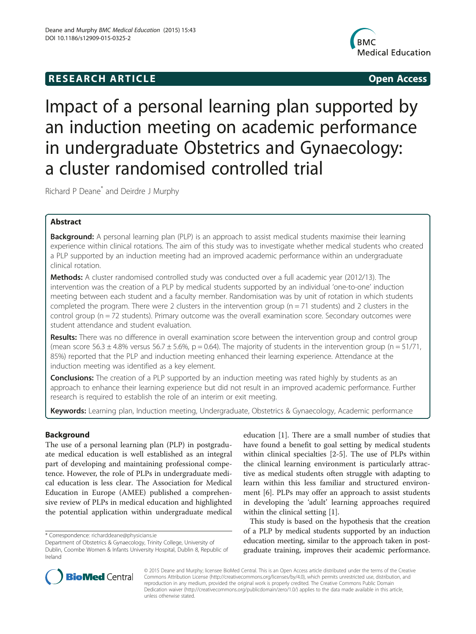# **RESEARCH ARTICLE Example 2018 12:00 Open Access**



# Impact of a personal learning plan supported by an induction meeting on academic performance in undergraduate Obstetrics and Gynaecology: a cluster randomised controlled trial

Richard P Deane\* and Deirdre J Murphy

# Abstract

**Background:** A personal learning plan (PLP) is an approach to assist medical students maximise their learning experience within clinical rotations. The aim of this study was to investigate whether medical students who created a PLP supported by an induction meeting had an improved academic performance within an undergraduate clinical rotation.

Methods: A cluster randomised controlled study was conducted over a full academic year (2012/13). The intervention was the creation of a PLP by medical students supported by an individual 'one-to-one' induction meeting between each student and a faculty member. Randomisation was by unit of rotation in which students completed the program. There were 2 clusters in the intervention group ( $n = 71$  students) and 2 clusters in the control group (n = 72 students). Primary outcome was the overall examination score. Secondary outcomes were student attendance and student evaluation.

Results: There was no difference in overall examination score between the intervention group and control group (mean score 56.3  $\pm$  4.8% versus 56.7  $\pm$  5.6%, p = 0.64). The majority of students in the intervention group (n = 51/71, 85%) reported that the PLP and induction meeting enhanced their learning experience. Attendance at the induction meeting was identified as a key element.

**Conclusions:** The creation of a PLP supported by an induction meeting was rated highly by students as an approach to enhance their learning experience but did not result in an improved academic performance. Further research is required to establish the role of an interim or exit meeting.

Keywords: Learning plan, Induction meeting, Undergraduate, Obstetrics & Gynaecology, Academic performance

## Background

The use of a personal learning plan (PLP) in postgraduate medical education is well established as an integral part of developing and maintaining professional competence. However, the role of PLPs in undergraduate medical education is less clear. The Association for Medical Education in Europe (AMEE) published a comprehensive review of PLPs in medical education and highlighted the potential application within undergraduate medical education [[1](#page-7-0)]. There are a small number of studies that have found a benefit to goal setting by medical students within clinical specialties [[2-5](#page-7-0)]. The use of PLPs within the clinical learning environment is particularly attractive as medical students often struggle with adapting to learn within this less familiar and structured environment [[6](#page-7-0)]. PLPs may offer an approach to assist students in developing the 'adult' learning approaches required within the clinical setting [[1](#page-7-0)].

This study is based on the hypothesis that the creation of a PLP by medical students supported by an induction education meeting, similar to the approach taken in postgraduate training, improves their academic performance.



© 2015 Deane and Murphy; licensee BioMed Central. This is an Open Access article distributed under the terms of the Creative Commons Attribution License [\(http://creativecommons.org/licenses/by/4.0\)](http://creativecommons.org/licenses/by/4.0), which permits unrestricted use, distribution, and reproduction in any medium, provided the original work is properly credited. The Creative Commons Public Domain Dedication waiver [\(http://creativecommons.org/publicdomain/zero/1.0/](http://creativecommons.org/publicdomain/zero/1.0/)) applies to the data made available in this article, unless otherwise stated.

<sup>\*</sup> Correspondence: [richarddeane@physicians.ie](mailto:richarddeane@physicians.ie)

Department of Obstetrics & Gynaecology, Trinity College, University of Dublin, Coombe Women & Infants University Hospital, Dublin 8, Republic of Ireland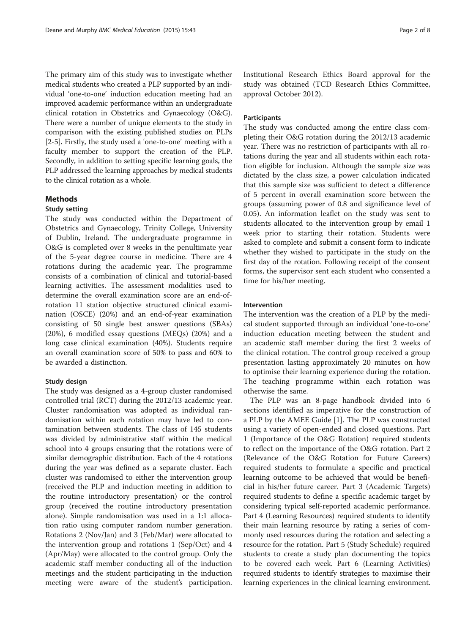The primary aim of this study was to investigate whether medical students who created a PLP supported by an individual 'one-to-one' induction education meeting had an improved academic performance within an undergraduate clinical rotation in Obstetrics and Gynaecology (O&G). There were a number of unique elements to the study in comparison with the existing published studies on PLPs [[2-5\]](#page-7-0). Firstly, the study used a 'one-to-one' meeting with a faculty member to support the creation of the PLP. Secondly, in addition to setting specific learning goals, the PLP addressed the learning approaches by medical students to the clinical rotation as a whole.

#### Methods

#### Study setting

The study was conducted within the Department of Obstetrics and Gynaecology, Trinity College, University of Dublin, Ireland. The undergraduate programme in O&G is completed over 8 weeks in the penultimate year of the 5-year degree course in medicine. There are 4 rotations during the academic year. The programme consists of a combination of clinical and tutorial-based learning activities. The assessment modalities used to determine the overall examination score are an end-ofrotation 11 station objective structured clinical examination (OSCE) (20%) and an end-of-year examination consisting of 50 single best answer questions (SBAs) (20%), 6 modified essay questions (MEQs) (20%) and a long case clinical examination (40%). Students require an overall examination score of 50% to pass and 60% to be awarded a distinction.

#### Study design

The study was designed as a 4-group cluster randomised controlled trial (RCT) during the 2012/13 academic year. Cluster randomisation was adopted as individual randomisation within each rotation may have led to contamination between students. The class of 145 students was divided by administrative staff within the medical school into 4 groups ensuring that the rotations were of similar demographic distribution. Each of the 4 rotations during the year was defined as a separate cluster. Each cluster was randomised to either the intervention group (received the PLP and induction meeting in addition to the routine introductory presentation) or the control group (received the routine introductory presentation alone). Simple randomisation was used in a 1:1 allocation ratio using computer random number generation. Rotations 2 (Nov/Jan) and 3 (Feb/Mar) were allocated to the intervention group and rotations 1 (Sep/Oct) and 4 (Apr/May) were allocated to the control group. Only the academic staff member conducting all of the induction meetings and the student participating in the induction meeting were aware of the student's participation. Institutional Research Ethics Board approval for the study was obtained (TCD Research Ethics Committee, approval October 2012).

#### **Participants**

The study was conducted among the entire class completing their O&G rotation during the 2012/13 academic year. There was no restriction of participants with all rotations during the year and all students within each rotation eligible for inclusion. Although the sample size was dictated by the class size, a power calculation indicated that this sample size was sufficient to detect a difference of 5 percent in overall examination score between the groups (assuming power of 0.8 and significance level of 0.05). An information leaflet on the study was sent to students allocated to the intervention group by email 1 week prior to starting their rotation. Students were asked to complete and submit a consent form to indicate whether they wished to participate in the study on the first day of the rotation. Following receipt of the consent forms, the supervisor sent each student who consented a time for his/her meeting.

#### Intervention

The intervention was the creation of a PLP by the medical student supported through an individual 'one-to-one' induction education meeting between the student and an academic staff member during the first 2 weeks of the clinical rotation. The control group received a group presentation lasting approximately 20 minutes on how to optimise their learning experience during the rotation. The teaching programme within each rotation was otherwise the same.

The PLP was an 8-page handbook divided into 6 sections identified as imperative for the construction of a PLP by the AMEE Guide [[1\]](#page-7-0). The PLP was constructed using a variety of open-ended and closed questions. Part 1 (Importance of the O&G Rotation) required students to reflect on the importance of the O&G rotation. Part 2 (Relevance of the O&G Rotation for Future Careers) required students to formulate a specific and practical learning outcome to be achieved that would be beneficial in his/her future career. Part 3 (Academic Targets) required students to define a specific academic target by considering typical self-reported academic performance. Part 4 (Learning Resources) required students to identify their main learning resource by rating a series of commonly used resources during the rotation and selecting a resource for the rotation. Part 5 (Study Schedule) required students to create a study plan documenting the topics to be covered each week. Part 6 (Learning Activities) required students to identify strategies to maximise their learning experiences in the clinical learning environment.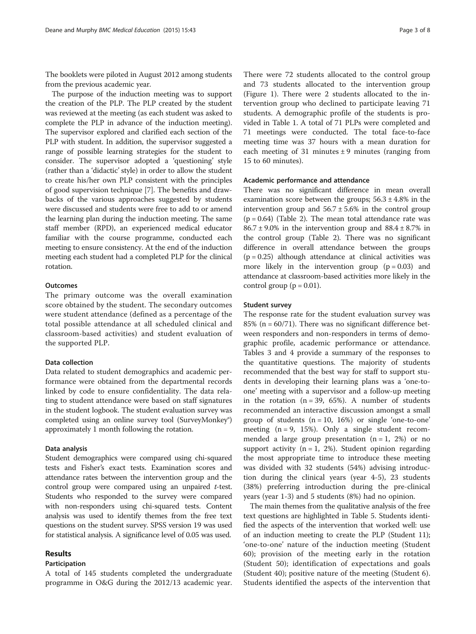The booklets were piloted in August 2012 among students from the previous academic year.

The purpose of the induction meeting was to support the creation of the PLP. The PLP created by the student was reviewed at the meeting (as each student was asked to complete the PLP in advance of the induction meeting). The supervisor explored and clarified each section of the PLP with student. In addition, the supervisor suggested a range of possible learning strategies for the student to consider. The supervisor adopted a 'questioning' style (rather than a 'didactic' style) in order to allow the student to create his/her own PLP consistent with the principles of good supervision technique [\[7\]](#page-7-0). The benefits and drawbacks of the various approaches suggested by students were discussed and students were free to add to or amend the learning plan during the induction meeting. The same staff member (RPD), an experienced medical educator familiar with the course programme, conducted each meeting to ensure consistency. At the end of the induction meeting each student had a completed PLP for the clinical rotation.

#### **Outcomes**

The primary outcome was the overall examination score obtained by the student. The secondary outcomes were student attendance (defined as a percentage of the total possible attendance at all scheduled clinical and classroom-based activities) and student evaluation of the supported PLP.

#### Data collection

Data related to student demographics and academic performance were obtained from the departmental records linked by code to ensure confidentiality. The data relating to student attendance were based on staff signatures in the student logbook. The student evaluation survey was completed using an online survey tool (SurveyMonkey®) approximately 1 month following the rotation.

#### Data analysis

Student demographics were compared using chi-squared tests and Fisher's exact tests. Examination scores and attendance rates between the intervention group and the control group were compared using an unpaired t-test. Students who responded to the survey were compared with non-responders using chi-squared tests. Content analysis was used to identify themes from the free text questions on the student survey. SPSS version 19 was used for statistical analysis. A significance level of 0.05 was used.

#### Results

#### Participation

A total of 145 students completed the undergraduate programme in O&G during the 2012/13 academic year.

There were 72 students allocated to the control group and 73 students allocated to the intervention group (Figure [1](#page-3-0)). There were 2 students allocated to the intervention group who declined to participate leaving 71 students. A demographic profile of the students is provided in Table [1.](#page-4-0) A total of 71 PLPs were completed and 71 meetings were conducted. The total face-to-face meeting time was 37 hours with a mean duration for each meeting of 31 minutes  $\pm$  9 minutes (ranging from 15 to 60 minutes).

#### Academic performance and attendance

There was no significant difference in mean overall examination score between the groups;  $56.3 \pm 4.8\%$  in the intervention group and  $56.7 \pm 5.6\%$  in the control group  $(p = 0.64)$  (Table [2\)](#page-4-0). The mean total attendance rate was  $86.7 \pm 9.0\%$  in the intervention group and  $88.4 \pm 8.7\%$  in the control group (Table [2\)](#page-4-0). There was no significant difference in overall attendance between the groups  $(p = 0.25)$  although attendance at clinical activities was more likely in the intervention group  $(p = 0.03)$  and attendance at classroom-based activities more likely in the control group ( $p = 0.01$ ).

#### Student survey

The response rate for the student evaluation survey was 85% ( $n = 60/71$ ). There was no significant difference between responders and non-responders in terms of demographic profile, academic performance or attendance. Tables [3](#page-5-0) and [4](#page-5-0) provide a summary of the responses to the quantitative questions. The majority of students recommended that the best way for staff to support students in developing their learning plans was a 'one-toone' meeting with a supervisor and a follow-up meeting in the rotation  $(n = 39, 65%)$ . A number of students recommended an interactive discussion amongst a small group of students  $(n = 10, 16%)$  or single 'one-to-one' meeting  $(n = 9, 15\%)$ . Only a single student recommended a large group presentation  $(n = 1, 2\%)$  or no support activity ( $n = 1$ , 2%). Student opinion regarding the most appropriate time to introduce these meeting was divided with 32 students (54%) advising introduction during the clinical years (year 4-5), 23 students (38%) preferring introduction during the pre-clinical years (year 1-3) and 5 students (8%) had no opinion.

The main themes from the qualitative analysis of the free text questions are highlighted in Table [5.](#page-6-0) Students identified the aspects of the intervention that worked well: use of an induction meeting to create the PLP (Student 11); 'one-to-one' nature of the induction meeting (Student 60); provision of the meeting early in the rotation (Student 50); identification of expectations and goals (Student 40); positive nature of the meeting (Student 6). Students identified the aspects of the intervention that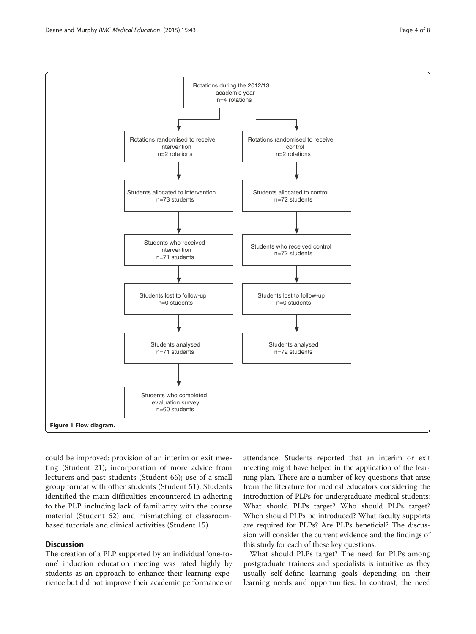<span id="page-3-0"></span>

could be improved: provision of an interim or exit meeting (Student 21); incorporation of more advice from lecturers and past students (Student 66); use of a small group format with other students (Student 51). Students identified the main difficulties encountered in adhering to the PLP including lack of familiarity with the course material (Student 62) and mismatching of classroombased tutorials and clinical activities (Student 15).

### **Discussion**

The creation of a PLP supported by an individual 'one-toone' induction education meeting was rated highly by students as an approach to enhance their learning experience but did not improve their academic performance or attendance. Students reported that an interim or exit meeting might have helped in the application of the learning plan. There are a number of key questions that arise from the literature for medical educators considering the introduction of PLPs for undergraduate medical students: What should PLPs target? Who should PLPs target? When should PLPs be introduced? What faculty supports are required for PLPs? Are PLPs beneficial? The discussion will consider the current evidence and the findings of this study for each of these key questions.

What should PLPs target? The need for PLPs among postgraduate trainees and specialists is intuitive as they usually self-define learning goals depending on their learning needs and opportunities. In contrast, the need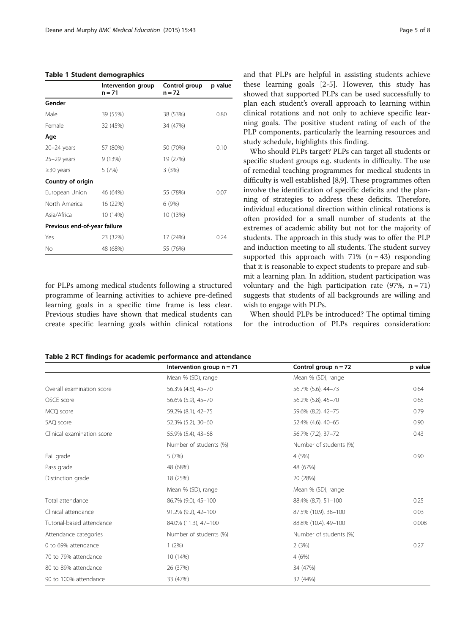#### <span id="page-4-0"></span>Table 1 Student demographics

|                              | Intervention group<br>n = 71 |                  | p value |  |
|------------------------------|------------------------------|------------------|---------|--|
| Gender                       |                              |                  |         |  |
| Male                         | 39 (55%)                     | 38 (53%)         | 0.80    |  |
| Female                       | 32 (45%)                     | 34 (47%)         |         |  |
| Age                          |                              |                  |         |  |
| $20 - 24$ years              | 57 (80%)                     | 50 (70%)         | 0.10    |  |
| $25-29$ years                | 9(13%)                       | 19 (27%)         |         |  |
| $\geq$ 30 years              | 5(7%)                        | 3(3%)            |         |  |
| Country of origin            |                              |                  |         |  |
| European Union               | 46 (64%)                     | 55 (78%)<br>0.07 |         |  |
| North America                | 16 (22%)                     | 6(9%)            |         |  |
| Asia/Africa                  | 10 (14%)                     | 10 (13%)         |         |  |
| Previous end-of-year failure |                              |                  |         |  |
| Yes                          | 23 (32%)                     | 17 (24%)         | 0.24    |  |
| No                           | 48 (68%)                     | 55 (76%)         |         |  |

for PLPs among medical students following a structured programme of learning activities to achieve pre-defined learning goals in a specific time frame is less clear. Previous studies have shown that medical students can create specific learning goals within clinical rotations and that PLPs are helpful in assisting students achieve these learning goals [[2-5\]](#page-7-0). However, this study has showed that supported PLPs can be used successfully to plan each student's overall approach to learning within clinical rotations and not only to achieve specific learning goals. The positive student rating of each of the PLP components, particularly the learning resources and study schedule, highlights this finding.

Who should PLPs target? PLPs can target all students or specific student groups e.g. students in difficulty. The use of remedial teaching programmes for medical students in difficulty is well established [\[8,9\]](#page-7-0). These programmes often involve the identification of specific deficits and the planning of strategies to address these deficits. Therefore, individual educational direction within clinical rotations is often provided for a small number of students at the extremes of academic ability but not for the majority of students. The approach in this study was to offer the PLP and induction meeting to all students. The student survey supported this approach with  $71\%$  (n = 43) responding that it is reasonable to expect students to prepare and submit a learning plan. In addition, student participation was voluntary and the high participation rate  $(97\%, n = 71)$ suggests that students of all backgrounds are willing and wish to engage with PLPs.

When should PLPs be introduced? The optimal timing for the introduction of PLPs requires consideration:

Table 2 RCT findings for academic performance and attendance

|                            | Intervention group $n = 71$ | Control group $n = 72$ | p value |  |
|----------------------------|-----------------------------|------------------------|---------|--|
|                            | Mean % (SD), range          | Mean % (SD), range     |         |  |
| Overall examination score  | 56.3% (4.8), 45-70          | 56.7% (5.6), 44-73     | 0.64    |  |
| OSCE score                 | 56.6% (5.9), 45-70          | 56.2% (5.8), 45-70     | 0.65    |  |
| MCQ score                  | 59.2% (8.1), 42-75          | 59.6% (8.2), 42-75     | 0.79    |  |
| SAQ score                  | 52.3% (5.2), 30-60          | 52.4% (4.6), 40-65     | 0.90    |  |
| Clinical examination score | 55.9% (5.4), 43-68          | 56.7% (7.2), 37-72     | 0.43    |  |
|                            | Number of students (%)      | Number of students (%) |         |  |
| Fail grade                 | 5(7%)                       | 4(5%)                  | 0.90    |  |
| Pass grade                 | 48 (68%)                    | 48 (67%)               |         |  |
| Distinction grade          | 18 (25%)                    | 20 (28%)               |         |  |
|                            | Mean % (SD), range          | Mean % (SD), range     |         |  |
| Total attendance           | 86.7% (9.0), 45-100         | 88.4% (8.7), 51-100    | 0.25    |  |
| Clinical attendance        | 91.2% (9.2), 42-100         | 87.5% (10.9), 38-100   | 0.03    |  |
| Tutorial-based attendance  | 84.0% (11.3), 47-100        | 88.8% (10.4), 49-100   | 0.008   |  |
| Attendance categories      | Number of students (%)      | Number of students (%) |         |  |
| 0 to 69% attendance        | 1(2%)                       | 2(3%)                  | 0.27    |  |
| 70 to 79% attendance       | 10 (14%)                    | 4(6%)                  |         |  |
| 80 to 89% attendance       | 26 (37%)                    | 34 (47%)               |         |  |
| 90 to 100% attendance      | 33 (47%)                    | 32 (44%)               |         |  |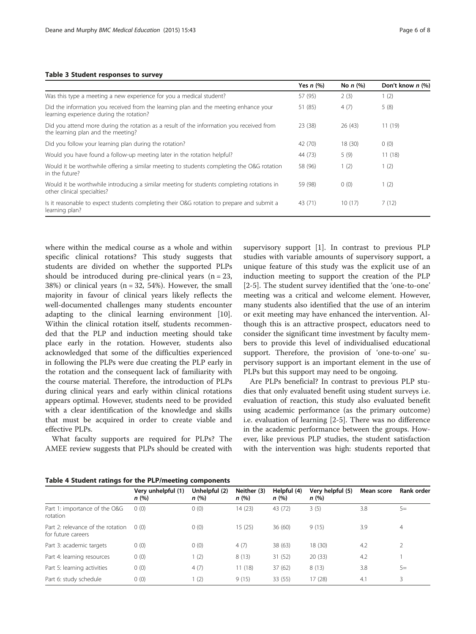#### <span id="page-5-0"></span>Table 3 Student responses to survey

|                                                                                                                                  | Yes $n$ $%$ | No $n$ $(\%)$ | Don't know $n$ (%) |
|----------------------------------------------------------------------------------------------------------------------------------|-------------|---------------|--------------------|
| Was this type a meeting a new experience for you a medical student?                                                              | 57 (95)     | 2(3)          | 1(2)               |
| Did the information you received from the learning plan and the meeting enhance your<br>learning experience during the rotation? | 51 (85)     | 4(7)          | 5(8)               |
| Did you attend more during the rotation as a result of the information you received from<br>the learning plan and the meeting?   | 23(38)      | 26(43)        | 11(19)             |
| Did you follow your learning plan during the rotation?                                                                           | 42 (70)     | 18(30)        | 0(0)               |
| Would you have found a follow-up meeting later in the rotation helpful?                                                          | 44 (73)     | 5(9)          | 11(18)             |
| Would it be worthwhile offering a similar meeting to students completing the O&G rotation<br>in the future?                      | 58 (96)     | 1(2)          | 1(2)               |
| Would it be worthwhile introducing a similar meeting for students completing rotations in<br>other clinical specialties?         | 59 (98)     | 0(0)          | 1(2)               |
| Is it reasonable to expect students completing their O&G rotation to prepare and submit a<br>learning plan?                      | 43 (71)     | 10(17)        | 7(12)              |

where within the medical course as a whole and within specific clinical rotations? This study suggests that students are divided on whether the supported PLPs should be introduced during pre-clinical years  $(n = 23)$ , 38%) or clinical years  $(n = 32, 54%)$ . However, the small majority in favour of clinical years likely reflects the well-documented challenges many students encounter adapting to the clinical learning environment [\[10](#page-7-0)]. Within the clinical rotation itself, students recommended that the PLP and induction meeting should take place early in the rotation. However, students also acknowledged that some of the difficulties experienced in following the PLPs were due creating the PLP early in the rotation and the consequent lack of familiarity with the course material. Therefore, the introduction of PLPs during clinical years and early within clinical rotations appears optimal. However, students need to be provided with a clear identification of the knowledge and skills that must be acquired in order to create viable and effective PLPs.

What faculty supports are required for PLPs? The AMEE review suggests that PLPs should be created with supervisory support [[1\]](#page-7-0). In contrast to previous PLP studies with variable amounts of supervisory support, a unique feature of this study was the explicit use of an induction meeting to support the creation of the PLP [[2-5](#page-7-0)]. The student survey identified that the 'one-to-one' meeting was a critical and welcome element. However, many students also identified that the use of an interim or exit meeting may have enhanced the intervention. Although this is an attractive prospect, educators need to consider the significant time investment by faculty members to provide this level of individualised educational support. Therefore, the provision of 'one-to-one' supervisory support is an important element in the use of PLPs but this support may need to be ongoing.

Are PLPs beneficial? In contrast to previous PLP studies that only evaluated benefit using student surveys i.e. evaluation of reaction, this study also evaluated benefit using academic performance (as the primary outcome) i.e. evaluation of learning [[2-5](#page-7-0)]. There was no difference in the academic performance between the groups. However, like previous PLP studies, the student satisfaction with the intervention was high: students reported that

| Table 4 Student ratings for the PLP/meeting components |  |  |  |  |
|--------------------------------------------------------|--|--|--|--|
|--------------------------------------------------------|--|--|--|--|

| Very unhelpful (1) | Unhelpful (2)                     |                     |                     |                          | Mean score | <b>Rank order</b> |
|--------------------|-----------------------------------|---------------------|---------------------|--------------------------|------------|-------------------|
| n(%)               | n(%)                              | Neither (3)<br>n(%) | Helpful (4)<br>n(%) | Very helpful (5)<br>n(%) |            |                   |
| 0(0)               | 0(0)                              | 14(23)              | 43 (72)             | 3(5)                     | 3.8        | $5=$              |
| 0(0)               | 0(0)                              | 15(25)              | 36(60)              | 9(15)                    | 3.9        | 4                 |
| 0(0)               | 0(0)                              | 4(7)                | 38(63)              | 18 (30)                  | 4.2        | C.                |
| 0(0)               | 1(2)                              | 8(13)               | 31(52)              | 20(33)                   | 4.2        |                   |
| 0(0)               | 4(7)                              | 11(18)              | 37(62)              | 8(13)                    | 3.8        | $5=$              |
| 0(0)               | 1(2)                              | 9(15)               | 33 (55)             | 17(28)                   | 4.1        | 3                 |
|                    | Part 2: relevance of the rotation |                     |                     |                          |            |                   |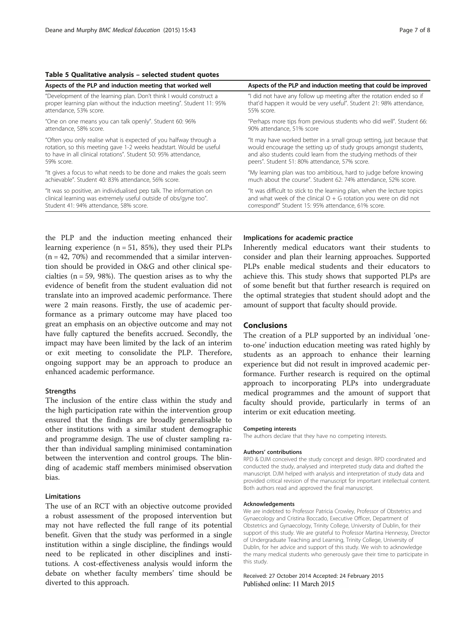#### <span id="page-6-0"></span>Table 5 Qualitative analysis – selected student quotes

| Aspects of the PLP and induction meeting that worked well            | Aspects of the PLP and induction meeting that could be improved          |
|----------------------------------------------------------------------|--------------------------------------------------------------------------|
| "Development of the learning plan. Don't think I would construct a   | "I did not have any follow up meeting after the rotation ended so if     |
| proper learning plan without the induction meeting". Student 11: 95% | that'd happen it would be very useful". Student 21: 98% attendance,      |
| attendance, 53% score.                                               | 55% score.                                                               |
| "One on one means you can talk openly". Student 60: 96%              | "Perhaps more tips from previous students who did well". Student 66:     |
| attendance, 58% score.                                               | 90% attendance, 51% score                                                |
| "Often you only realise what is expected of you halfway through a    | "It may have worked better in a small group setting, just because that   |
| rotation, so this meeting gave 1-2 weeks headstart. Would be useful  | would encourage the setting up of study groups amongst students,         |
| to have in all clinical rotations". Student 50: 95% attendance,      | and also students could learn from the studying methods of their         |
| 59% score.                                                           | peers". Student 51: 80% attendance, 57% score.                           |
| "It gives a focus to what needs to be done and makes the goals seem  | "My learning plan was too ambitious, hard to judge before knowing        |
| achievable". Student 40: 83% attendance, 56% score.                  | much about the course". Student 62: 74% attendance, 52% score.           |
| "It was so positive, an individualised pep talk. The information on  | "It was difficult to stick to the learning plan, when the lecture topics |
| clinical learning was extremely useful outside of obs/gyne too".     | and what week of the clinical $O + G$ rotation you were on did not       |
| Student 41: 94% attendance, 58% score.                               | correspond!" Student 15: 95% attendance, 61% score.                      |

the PLP and the induction meeting enhanced their learning experience  $(n = 51, 85%)$ , they used their PLPs  $(n = 42, 70%)$  and recommended that a similar intervention should be provided in O&G and other clinical specialties ( $n = 59$ , 98%). The question arises as to why the evidence of benefit from the student evaluation did not translate into an improved academic performance. There were 2 main reasons. Firstly, the use of academic performance as a primary outcome may have placed too great an emphasis on an objective outcome and may not have fully captured the benefits accrued. Secondly, the impact may have been limited by the lack of an interim or exit meeting to consolidate the PLP. Therefore, ongoing support may be an approach to produce an enhanced academic performance.

#### **Strengths**

The inclusion of the entire class within the study and the high participation rate within the intervention group ensured that the findings are broadly generalisable to other institutions with a similar student demographic and programme design. The use of cluster sampling rather than individual sampling minimised contamination between the intervention and control groups. The blinding of academic staff members minimised observation bias.

#### Limitations

The use of an RCT with an objective outcome provided a robust assessment of the proposed intervention but may not have reflected the full range of its potential benefit. Given that the study was performed in a single institution within a single discipline, the findings would need to be replicated in other disciplines and institutions. A cost-effectiveness analysis would inform the debate on whether faculty members' time should be diverted to this approach.

#### Implications for academic practice

Inherently medical educators want their students to consider and plan their learning approaches. Supported PLPs enable medical students and their educators to achieve this. This study shows that supported PLPs are of some benefit but that further research is required on the optimal strategies that student should adopt and the amount of support that faculty should provide.

#### Conclusions

The creation of a PLP supported by an individual 'oneto-one' induction education meeting was rated highly by students as an approach to enhance their learning experience but did not result in improved academic performance. Further research is required on the optimal approach to incorporating PLPs into undergraduate medical programmes and the amount of support that faculty should provide, particularly in terms of an interim or exit education meeting.

#### Competing interests

The authors declare that they have no competing interests.

#### Authors' contributions

RPD & DJM conceived the study concept and design. RPD coordinated and conducted the study, analysed and interpreted study data and drafted the manuscript. DJM helped with analysis and interpretation of study data and provided critical revision of the manuscript for important intellectual content. Both authors read and approved the final manuscript.

#### Acknowledgements

We are indebted to Professor Patricia Crowley, Professor of Obstetrics and Gynaecology and Cristina Boccado, Executive Officer, Department of Obstetrics and Gynaecology, Trinity College, University of Dublin, for their support of this study. We are grateful to Professor Martina Hennessy, Director of Undergraduate Teaching and Learning, Trinity College, University of Dublin, for her advice and support of this study. We wish to acknowledge the many medical students who generously gave their time to participate in this study.

Received: 27 October 2014 Accepted: 24 February 2015 Published online: 11 March 2015